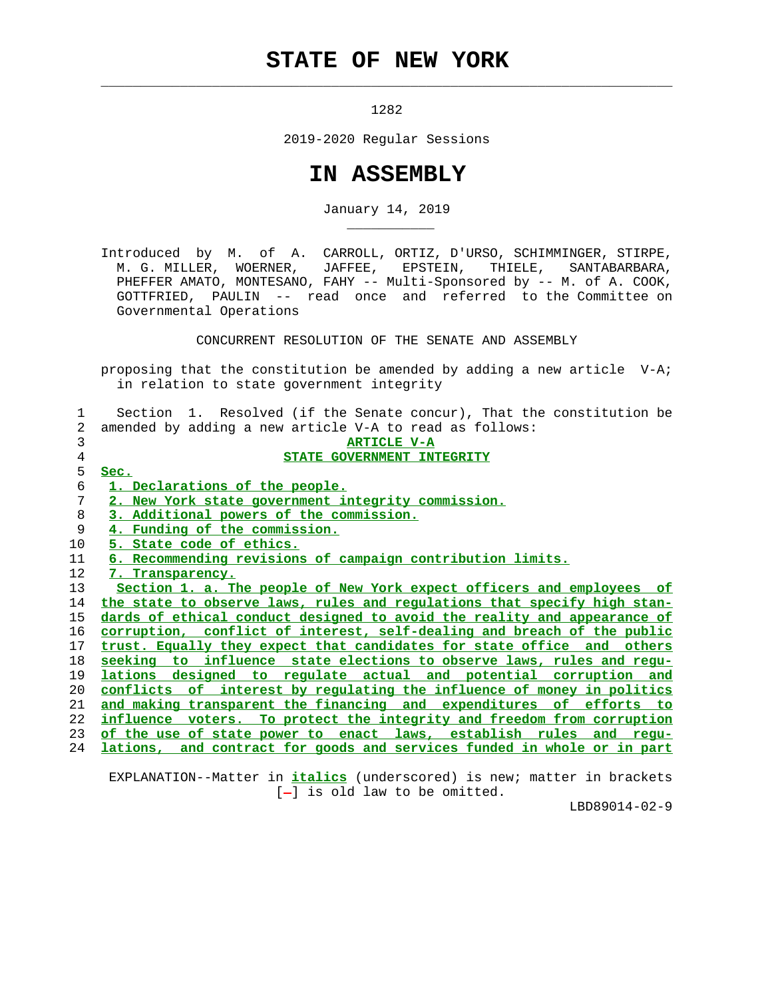## **STATE OF NEW YORK**

 $\mathcal{L}_\text{max} = \frac{1}{2} \sum_{i=1}^{n} \frac{1}{2} \sum_{i=1}^{n} \frac{1}{2} \sum_{i=1}^{n} \frac{1}{2} \sum_{i=1}^{n} \frac{1}{2} \sum_{i=1}^{n} \frac{1}{2} \sum_{i=1}^{n} \frac{1}{2} \sum_{i=1}^{n} \frac{1}{2} \sum_{i=1}^{n} \frac{1}{2} \sum_{i=1}^{n} \frac{1}{2} \sum_{i=1}^{n} \frac{1}{2} \sum_{i=1}^{n} \frac{1}{2} \sum_{i=1}^{n} \frac{1$ 

\_\_\_\_\_\_\_\_\_\_\_

1282

2019-2020 Regular Sessions

## **IN ASSEMBLY**

January 14, 2019

 Introduced by M. of A. CARROLL, ORTIZ, D'URSO, SCHIMMINGER, STIRPE, M. G. MILLER, WOERNER, JAFFEE, EPSTEIN, THIELE, SANTABARBARA, PHEFFER AMATO, MONTESANO, FAHY -- Multi-Sponsored by -- M. of A. COOK, GOTTFRIED, PAULIN -- read once and referred to the Committee on Governmental Operations

CONCURRENT RESOLUTION OF THE SENATE AND ASSEMBLY

 proposing that the constitution be amended by adding a new article V-A; in relation to state government integrity

 1 Section 1. Resolved (if the Senate concur), That the constitution be 2 amended by adding a new article V-A to read as follows:

|    | <b>ARTICLE V-A</b>                                                       |
|----|--------------------------------------------------------------------------|
| 4  | STATE GOVERNMENT INTEGRITY                                               |
| 5. | Sec.                                                                     |
| 6  | 1. Declarations of the people.                                           |
|    | 2. New York state government integrity commission.                       |
| 8  | 3. Additional powers of the commission.                                  |
| 9  | 4. Funding of the commission.                                            |
| 10 | 5. State code of ethics.                                                 |
| 11 | 6. Recommending revisions of campaign contribution limits.               |
| 12 | 7. Transparency.                                                         |
| 13 | Section 1. a. The people of New York expect officers and employees of    |
| 14 | the state to observe laws, rules and regulations that specify high stan- |
| 15 | dards of ethical conduct designed to avoid the reality and appearance of |
| 16 | corruption, conflict of interest, self-dealing and breach of the public  |

**trust. Equally they expect that candidates for state office and others seeking to influence state elections to observe laws, rules and regu- lations designed to regulate actual and potential corruption and conflicts of interest by regulating the influence of money in politics and making transparent the financing and expenditures of efforts to influence voters. To protect the integrity and freedom from corruption of the use of state power to enact laws, establish rules and regu-**

24 **lations, and contract for goods and services funded in whole or in part**

 EXPLANATION--Matter in **italics** (underscored) is new; matter in brackets  $[-]$  is old law to be omitted.

LBD89014-02-9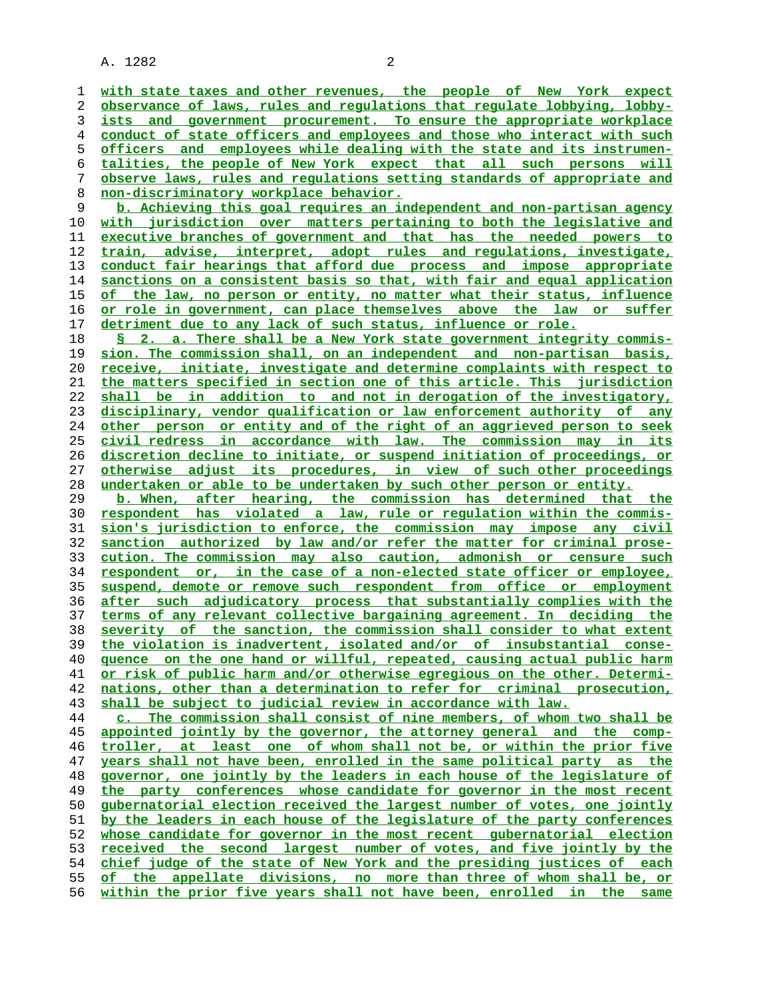A. 1282 2

**with state taxes and other revenues, the people of New York expect observance of laws, rules and regulations that regulate lobbying, lobby- ists and government procurement. To ensure the appropriate workplace conduct of state officers and employees and those who interact with such officers and employees while dealing with the state and its instrumen- talities, the people of New York expect that all such persons will observe laws, rules and regulations setting standards of appropriate and non-discriminatory workplace behavior. b. Achieving this goal requires an independent and non-partisan agency with jurisdiction over matters pertaining to both the legislative and executive branches of government and that has the needed powers to train, advise, interpret, adopt rules and regulations, investigate, conduct fair hearings that afford due process and impose appropriate sanctions on a consistent basis so that, with fair and equal application of the law, no person or entity, no matter what their status, influence or role in government, can place themselves above the law or suffer detriment due to any lack of such status, influence or role. § 2. a. There shall be a New York state government integrity commis- sion. The commission shall, on an independent and non-partisan basis, receive, initiate, investigate and determine complaints with respect to the matters specified in section one of this article. This jurisdiction shall be in addition to and not in derogation of the investigatory, disciplinary, vendor qualification or law enforcement authority of any other person or entity and of the right of an aggrieved person to seek civil redress in accordance with law. The commission may in its discretion decline to initiate, or suspend initiation of proceedings, or otherwise adjust its procedures, in view of such other proceedings undertaken or able to be undertaken by such other person or entity. b. When, after hearing, the commission has determined that the respondent has violated a law, rule or regulation within the commis- sion's jurisdiction to enforce, the commission may impose any civil sanction authorized by law and/or refer the matter for criminal prose- cution. The commission may also caution, admonish or censure such respondent or, in the case of a non-elected state officer or employee, suspend, demote or remove such respondent from office or employment after such adjudicatory process that substantially complies with the terms of any relevant collective bargaining agreement. In deciding the severity of the sanction, the commission shall consider to what extent the violation is inadvertent, isolated and/or of insubstantial conse- quence on the one hand or willful, repeated, causing actual public harm or risk of public harm and/or otherwise egregious on the other. Determi- nations, other than a determination to refer for criminal prosecution, shall be subject to judicial review in accordance with law. c. The commission shall consist of nine members, of whom two shall be appointed jointly by the governor, the attorney general and the comp- troller, at least one of whom shall not be, or within the prior five years shall not have been, enrolled in the same political party as the governor, one jointly by the leaders in each house of the legislature of the party conferences whose candidate for governor in the most recent gubernatorial election received the largest number of votes, one jointly by the leaders in each house of the legislature of the party conferences whose candidate for governor in the most recent gubernatorial election received the second largest number of votes, and five jointly by the chief judge of the state of New York and the presiding justices of each of the appellate divisions, no more than three of whom shall be, or within the prior five years shall not have been, enrolled in the same**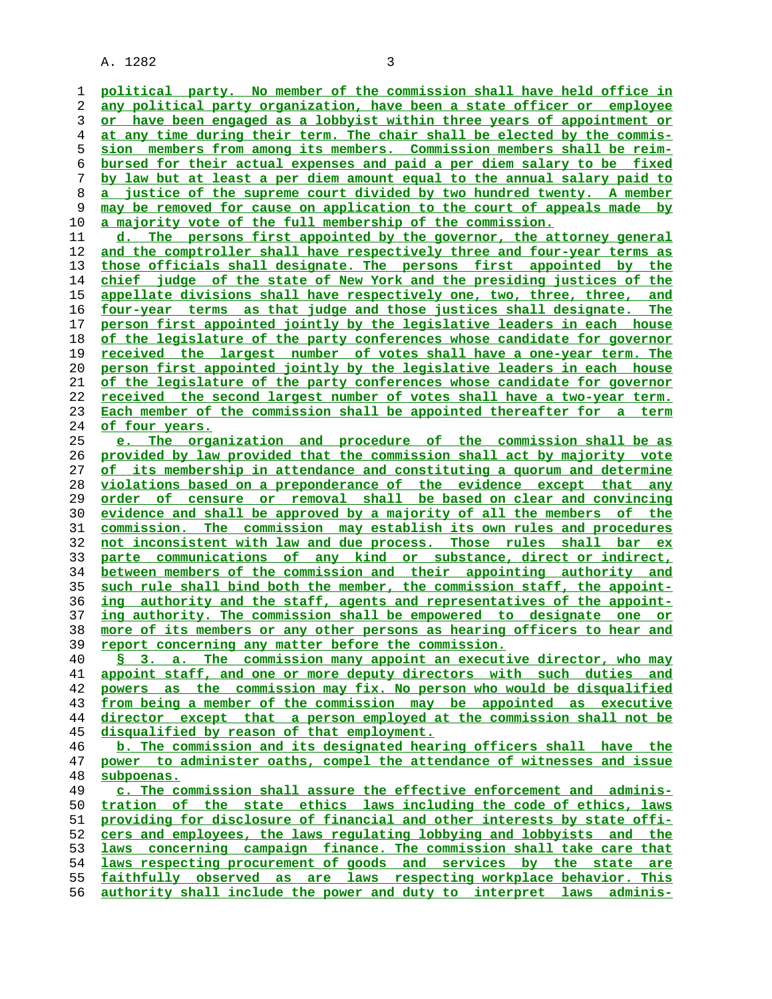A. 1282 3

**political party. No member of the commission shall have held office in any political party organization, have been a state officer or employee or have been engaged as a lobbyist within three years of appointment or at any time during their term. The chair shall be elected by the commis- sion members from among its members. Commission members shall be reim- bursed for their actual expenses and paid a per diem salary to be fixed by law but at least a per diem amount equal to the annual salary paid to a justice of the supreme court divided by two hundred twenty. A member may be removed for cause on application to the court of appeals made by a majority vote of the full membership of the commission.**

**d. The persons first appointed by the governor, the attorney general and the comptroller shall have respectively three and four-year terms as those officials shall designate. The persons first appointed by the chief judge of the state of New York and the presiding justices of the appellate divisions shall have respectively one, two, three, three, and four-year terms as that judge and those justices shall designate. The person first appointed jointly by the legislative leaders in each house of the legislature of the party conferences whose candidate for governor received the largest number of votes shall have a one-year term. The person first appointed jointly by the legislative leaders in each house of the legislature of the party conferences whose candidate for governor received the second largest number of votes shall have a two-year term. Each member of the commission shall be appointed thereafter for a term of four years.**

**e. The organization and procedure of the commission shall be as provided by law provided that the commission shall act by majority vote of its membership in attendance and constituting a quorum and determine violations based on a preponderance of the evidence except that any order of censure or removal shall be based on clear and convincing evidence and shall be approved by a majority of all the members of the commission. The commission may establish its own rules and procedures not inconsistent with law and due process. Those rules shall bar ex parte communications of any kind or substance, direct or indirect, between members of the commission and their appointing authority and such rule shall bind both the member, the commission staff, the appoint- ing authority and the staff, agents and representatives of the appoint- ing authority. The commission shall be empowered to designate one or more of its members or any other persons as hearing officers to hear and report concerning any matter before the commission.**

**§ 3. a. The commission many appoint an executive director, who may appoint staff, and one or more deputy directors with such duties and powers as the commission may fix. No person who would be disqualified from being a member of the commission may be appointed as executive director except that a person employed at the commission shall not be disqualified by reason of that employment.**

**b. The commission and its designated hearing officers shall have the power to administer oaths, compel the attendance of witnesses and issue subpoenas.**

**c. The commission shall assure the effective enforcement and adminis- tration of the state ethics laws including the code of ethics, laws providing for disclosure of financial and other interests by state offi- cers and employees, the laws regulating lobbying and lobbyists and the laws concerning campaign finance. The commission shall take care that laws respecting procurement of goods and services by the state are faithfully observed as are laws respecting workplace behavior. This authority shall include the power and duty to interpret laws adminis-**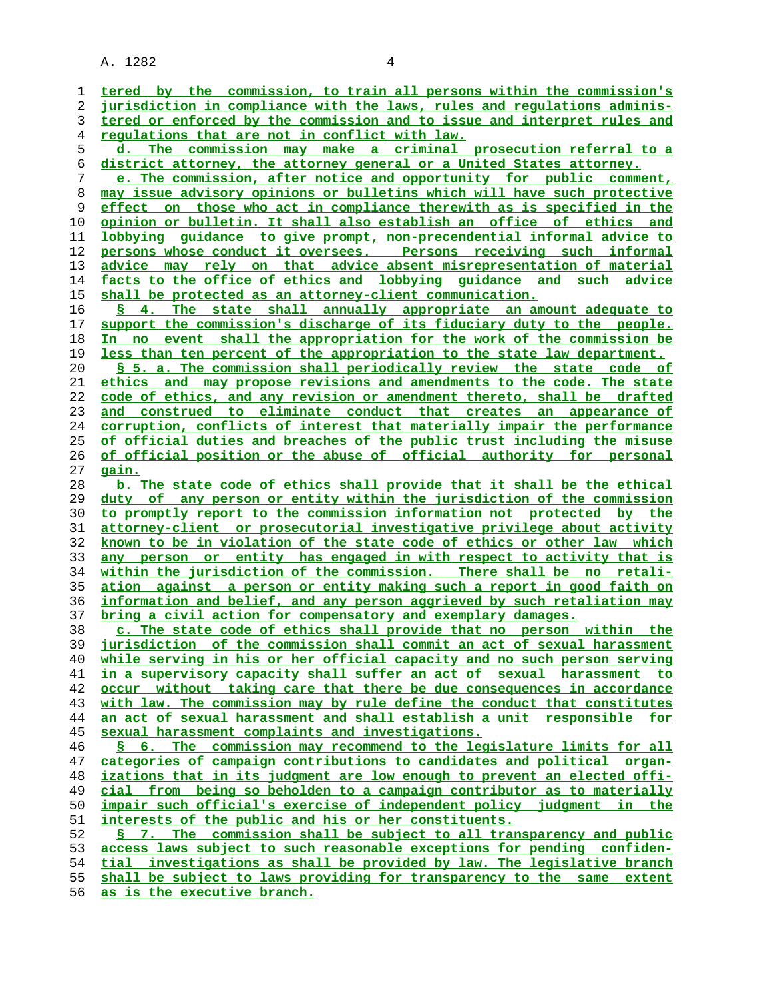A. 1282 4

| ı        | tered by the commission, to train all persons within the commission's                                                                                  |
|----------|--------------------------------------------------------------------------------------------------------------------------------------------------------|
| 2        | jurisdiction in compliance with the laws, rules and requlations adminis-                                                                               |
| 3        | tered or enforced by the commission and to issue and interpret rules and                                                                               |
| 4        | <u>regulations that are not in conflict with law.</u>                                                                                                  |
| 5        | d. The commission may make a criminal prosecution referral to a                                                                                        |
| 6        | district attorney, the attorney general or a United States attorney.                                                                                   |
| 7        | e. The commission, after notice and opportunity for public comment,                                                                                    |
| 8        | may issue advisory opinions or bulletins which will have such protective                                                                               |
| 9        | effect on those who act in compliance therewith as is specified in the                                                                                 |
| 10       | <u>opinion or bulletin. It shall also establish an office of ethics and </u>                                                                           |
| 11       | lobbying guidance to give prompt, non-precendential informal advice to                                                                                 |
| 12       | persons whose conduct it oversees. Persons receiving such informal                                                                                     |
| 13       | advice may rely on that advice absent misrepresentation of material                                                                                    |
| 14       | facts to the office of ethics and lobbying guidance and such advice                                                                                    |
| 15       | shall be protected as an attorney-client communication.                                                                                                |
| 16       | § 4. The state shall annually appropriate an amount adequate to                                                                                        |
| 17       | support the commission's discharge of its fiduciary duty to the people.                                                                                |
| 18       | In no event shall the appropriation for the work of the commission be                                                                                  |
| 19       | less than ten percent of the appropriation to the state law department.                                                                                |
| 20       | \$ 5. a. The commission shall periodically review the state code of                                                                                    |
| 21       | ethics and may propose revisions and amendments to the code. The state                                                                                 |
| 22       | code of ethics, and any revision or amendment thereto, shall be drafted                                                                                |
| 23       | and construed to eliminate conduct that creates an appearance of                                                                                       |
| 24       | <u>corruption, conflicts of interest that materially impair the performance</u>                                                                        |
| 25       | of official duties and breaches of the public trust including the misuse                                                                               |
| 26       | of official position or the abuse of official authority for personal                                                                                   |
| 27       | <u>gain.</u>                                                                                                                                           |
| 28       | b. The state code of ethics shall provide that it shall be the ethical                                                                                 |
| 29<br>30 | <u>duty of any person or entity within the jurisdiction of the commission</u><br>to promptly report to the commission information not protected by the |
| 31       | attorney-client or prosecutorial investigative privilege about activity                                                                                |
| 32       | known to be in violation of the state code of ethics or other law which                                                                                |
| 33       | any person or entity has engaged in with respect to activity that is                                                                                   |
| 34       | within the jurisdiction of the commission. There shall be no retali-                                                                                   |
| 35       | ation against a person or entity making such a report in good faith on                                                                                 |
| 36       | information and belief, and any person aggrieved by such retaliation may                                                                               |
| 37       | bring a civil action for compensatory and exemplary damages.                                                                                           |
| 38       | c. The state code of ethics shall provide that no person within the                                                                                    |
| 39       | jurisdiction of the commission shall commit an act of sexual harassment                                                                                |
| 40       | while serving in his or her official capacity and no such person serving                                                                               |
| 41       | in a supervisory capacity shall suffer an act of sexual harassment to                                                                                  |
| 42       | occur without taking care that there be due consequences in accordance                                                                                 |
| 43       | with law. The commission may by rule define the conduct that constitutes                                                                               |
| 44       | an act of sexual harassment and shall establish a unit responsible for                                                                                 |
| 45       | sexual harassment complaints and investigations.                                                                                                       |
| 46       | The commission may recommend to the legislature limits for all<br>$\sqrt{5}$ 6.                                                                        |
| 47       | categories of campaign contributions to candidates and political organ-                                                                                |
| 48       | izations that in its judgment are low enough to prevent an elected offi-                                                                               |
| 49       | from being so beholden to a campaign contributor as to materially<br>cial                                                                              |
| 50       | impair such official's exercise of independent policy judgment in the                                                                                  |
| 51       | interests of the public and his or her constituents.                                                                                                   |
| 52       | 7. The commission shall be subject to all transparency and public                                                                                      |
| 53       | access laws subject to such reasonable exceptions for pending confiden-                                                                                |
| 54       | tial investigations as shall be provided by law. The legislative branch                                                                                |
| 55       | shall be subject to laws providing for transparency to the same extent                                                                                 |
| 56       | as is the executive branch.                                                                                                                            |